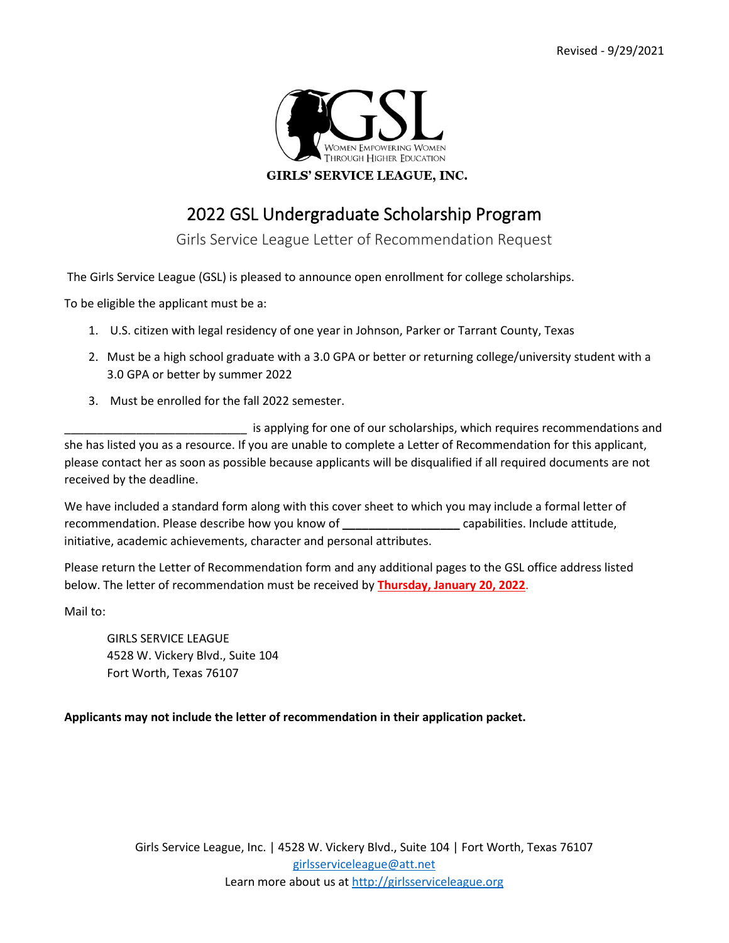

# 2022 GSL Undergraduate Scholarship Program

Girls Service League Letter of Recommendation Request

The Girls Service League (GSL) is pleased to announce open enrollment for college scholarships.

To be eligible the applicant must be a:

- 1. U.S. citizen with legal residency of one year in Johnson, Parker or Tarrant County, Texas
- 2. Must be a high school graduate with a 3.0 GPA or better or returning college/university student with a 3.0 GPA or better by summer 2022
- 3. Must be enrolled for the fall 2022 semester.

\_\_\_\_\_\_\_\_\_\_\_\_\_\_\_\_\_\_\_\_\_\_\_\_\_\_\_\_ is applying for one of our scholarships, which requires recommendations and she has listed you as a resource. If you are unable to complete a Letter of Recommendation for this applicant, please contact her as soon as possible because applicants will be disqualified if all required documents are not received by the deadline.

We have included a standard form along with this cover sheet to which you may include a formal letter of recommendation. Please describe how you know of **\_\_\_\_\_\_\_\_\_\_\_\_\_\_\_\_\_\_** capabilities. Include attitude, initiative, academic achievements, character and personal attributes.

Please return the Letter of Recommendation form and any additional pages to the GSL office address listed below. The letter of recommendation must be received by **Thursday, January 20, 2022**.

Mail to:

GIRLS SERVICE LEAGUE 4528 W. Vickery Blvd., Suite 104 Fort Worth, Texas 76107

### **Applicants may not include the letter of recommendation in their application packet.**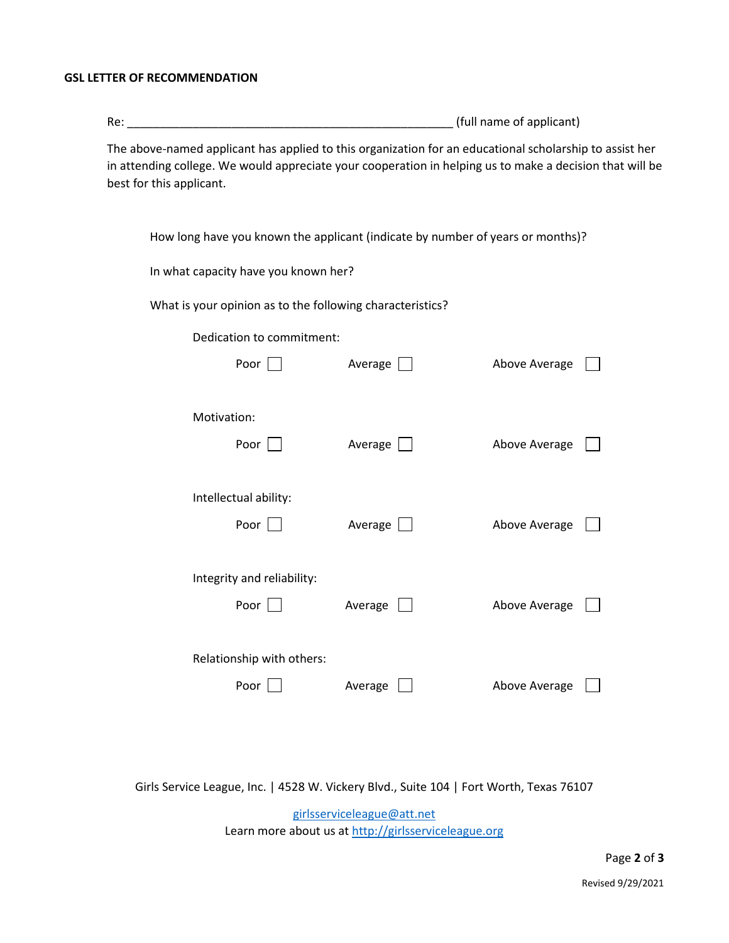### **GSL LETTER OF RECOMMENDATION**

| Re:                                                                                                     | (full name of applicant) |  |  |
|---------------------------------------------------------------------------------------------------------|--------------------------|--|--|
| The above-named applicant has applied to this organization for an educational scholarship to assist her |                          |  |  |

in attending college. We would appreciate your cooperation in helping us to make a decision that will be best for this applicant.

| How long have you known the applicant (indicate by number of years or months)? |  |
|--------------------------------------------------------------------------------|--|
|--------------------------------------------------------------------------------|--|

In what capacity have you known her?

What is your opinion as to the following characteristics?

| Dedication to commitment:  |                   |               |  |
|----------------------------|-------------------|---------------|--|
| Poor $\Box$                | Average           | Above Average |  |
| Motivation:                |                   |               |  |
| Poor $\Box$                | Average           | Above Average |  |
| Intellectual ability:      |                   |               |  |
| Poor                       | Average $\lfloor$ | Above Average |  |
| Integrity and reliability: |                   |               |  |
| Poor $\vert \ \vert$       | Average           | Above Average |  |
| Relationship with others:  |                   |               |  |
| Poor                       | Average           | Above Average |  |

Girls Service League, Inc. | 4528 W. Vickery Blvd., Suite 104 | Fort Worth, Texas 76107

[girlsserviceleague@att.net](mailto:girlsserviceleague@att.net)  Learn more about us a[t http://girlsserviceleague.org](http://girlsserviceleague.org/)

Page **2** of **3**